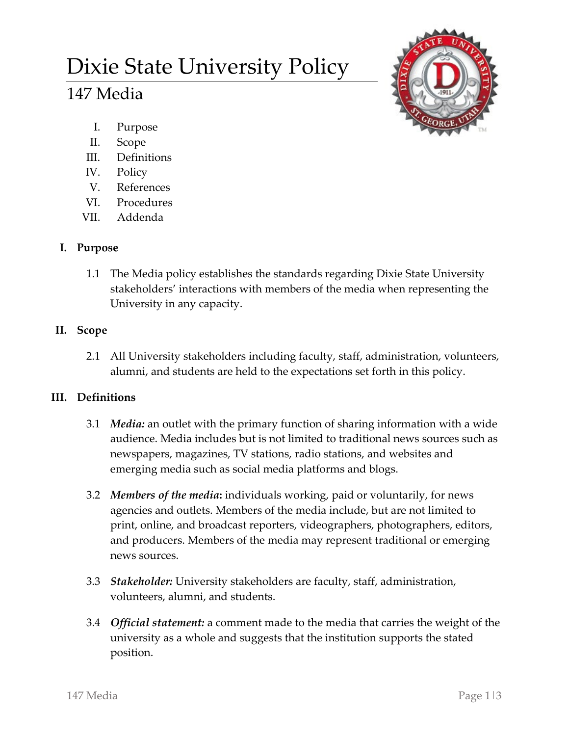# Dixie State University Policy

# 147 Media



- I. Purpose
- II. Scope
- III. Definitions
- IV. Policy
- V. References
- VI. Procedures
- VII. Addenda

# **I. Purpose**

1.1 The Media policy establishes the standards regarding Dixie State University stakeholders' interactions with members of the media when representing the University in any capacity.

# **II. Scope**

2.1 All University stakeholders including faculty, staff, administration, volunteers, alumni, and students are held to the expectations set forth in this policy.

## **III. Definitions**

- 3.1 *Media:* an outlet with the primary function of sharing information with a wide audience. Media includes but is not limited to traditional news sources such as newspapers, magazines, TV stations, radio stations, and websites and emerging media such as social media platforms and blogs.
- 3.2 *Members of the media***:** individuals working, paid or voluntarily, for news agencies and outlets. Members of the media include, but are not limited to print, online, and broadcast reporters, videographers, photographers, editors, and producers. Members of the media may represent traditional or emerging news sources.
- 3.3 *Stakeholder:* University stakeholders are faculty, staff, administration, volunteers, alumni, and students.
- 3.4 *Official statement:* a comment made to the media that carries the weight of the university as a whole and suggests that the institution supports the stated position.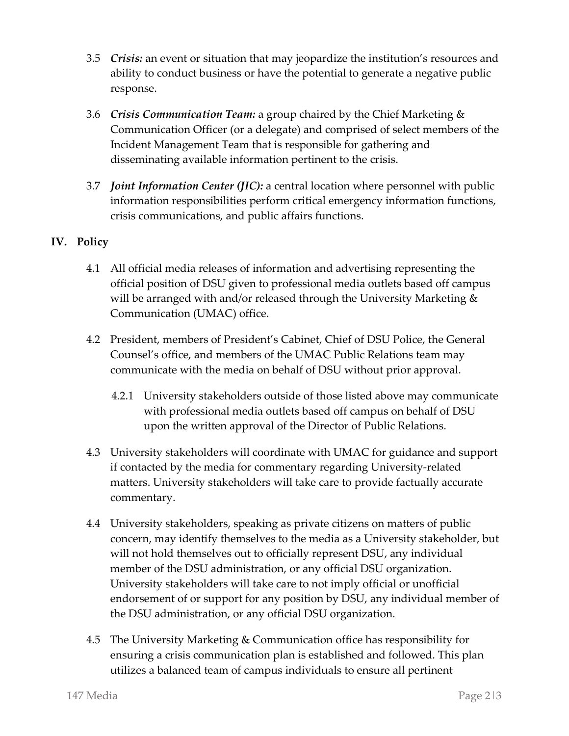- 3.5 *Crisis:* an event or situation that may jeopardize the institution's resources and ability to conduct business or have the potential to generate a negative public response.
- 3.6 *Crisis Communication Team:* a group chaired by the Chief Marketing & Communication Officer (or a delegate) and comprised of select members of the Incident Management Team that is responsible for gathering and disseminating available information pertinent to the crisis.
- 3.7 *Joint Information Center (JIC):* a central location where personnel with public information responsibilities perform critical emergency information functions, crisis communications, and public affairs functions.

### **IV. Policy**

- 4.1 All official media releases of information and advertising representing the official position of DSU given to professional media outlets based off campus will be arranged with and/or released through the University Marketing & Communication (UMAC) office.
- 4.2 President, members of President's Cabinet, Chief of DSU Police, the General Counsel's office, and members of the UMAC Public Relations team may communicate with the media on behalf of DSU without prior approval.
	- 4.2.1 University stakeholders outside of those listed above may communicate with professional media outlets based off campus on behalf of DSU upon the written approval of the Director of Public Relations.
- 4.3 University stakeholders will coordinate with UMAC for guidance and support if contacted by the media for commentary regarding University-related matters. University stakeholders will take care to provide factually accurate commentary.
- 4.4 University stakeholders, speaking as private citizens on matters of public concern, may identify themselves to the media as a University stakeholder, but will not hold themselves out to officially represent DSU, any individual member of the DSU administration, or any official DSU organization. University stakeholders will take care to not imply official or unofficial endorsement of or support for any position by DSU, any individual member of the DSU administration, or any official DSU organization.
- 4.5 The University Marketing & Communication office has responsibility for ensuring a crisis communication plan is established and followed. This plan utilizes a balanced team of campus individuals to ensure all pertinent